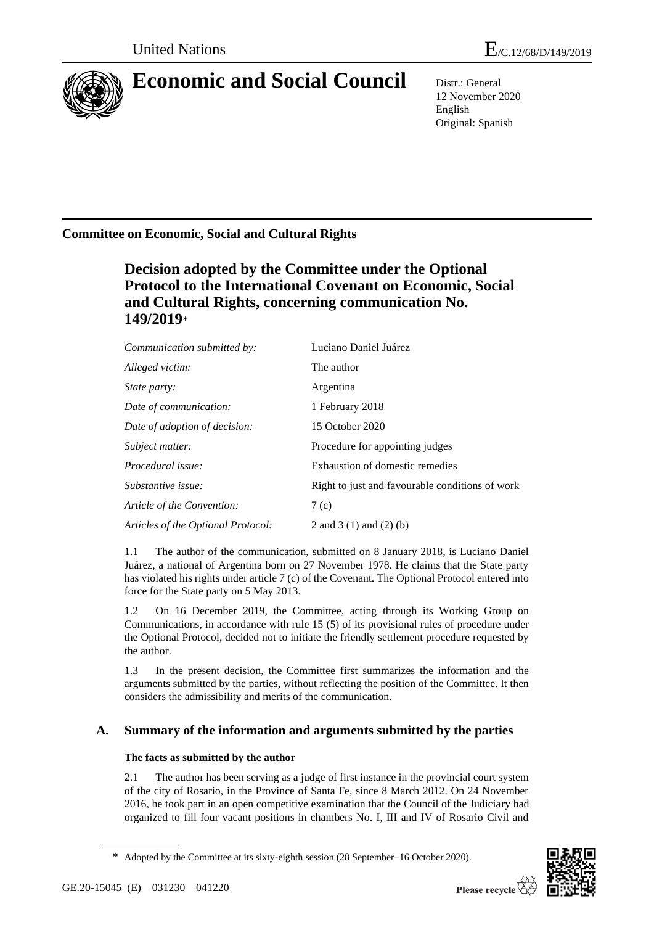

# **Economic and Social Council** Distr.: General

12 November 2020 English Original: Spanish

# **Committee on Economic, Social and Cultural Rights**

# **Decision adopted by the Committee under the Optional Protocol to the International Covenant on Economic, Social and Cultural Rights, concerning communication No. 149/2019**\*

| Communication submitted by:        | Luciano Daniel Juárez                           |
|------------------------------------|-------------------------------------------------|
| Alleged victim:                    | The author                                      |
| State party:                       | Argentina                                       |
| Date of communication:             | 1 February 2018                                 |
| Date of adoption of decision:      | 15 October 2020                                 |
| Subject matter:                    | Procedure for appointing judges                 |
| Procedural issue:                  | Exhaustion of domestic remedies                 |
| Substantive issue:                 | Right to just and favourable conditions of work |
| Article of the Convention:         | 7(c)                                            |
| Articles of the Optional Protocol: | 2 and 3 (1) and (2) (b)                         |

1.1 The author of the communication, submitted on 8 January 2018, is Luciano Daniel Juárez, a national of Argentina born on 27 November 1978. He claims that the State party has violated his rights under article 7 (c) of the Covenant. The Optional Protocol entered into force for the State party on 5 May 2013.

1.2 On 16 December 2019, the Committee, acting through its Working Group on Communications, in accordance with rule 15 (5) of its provisional rules of procedure under the Optional Protocol, decided not to initiate the friendly settlement procedure requested by the author.

1.3 In the present decision, the Committee first summarizes the information and the arguments submitted by the parties, without reflecting the position of the Committee. It then considers the admissibility and merits of the communication.

# **A. Summary of the information and arguments submitted by the parties**

## **The facts as submitted by the author**

2.1 The author has been serving as a judge of first instance in the provincial court system of the city of Rosario, in the Province of Santa Fe, since 8 March 2012. On 24 November 2016, he took part in an open competitive examination that the Council of the Judiciary had organized to fill four vacant positions in chambers No. I, III and IV of Rosario Civil and

\* Adopted by the Committee at its sixty-eighth session (28 September–16 October 2020).

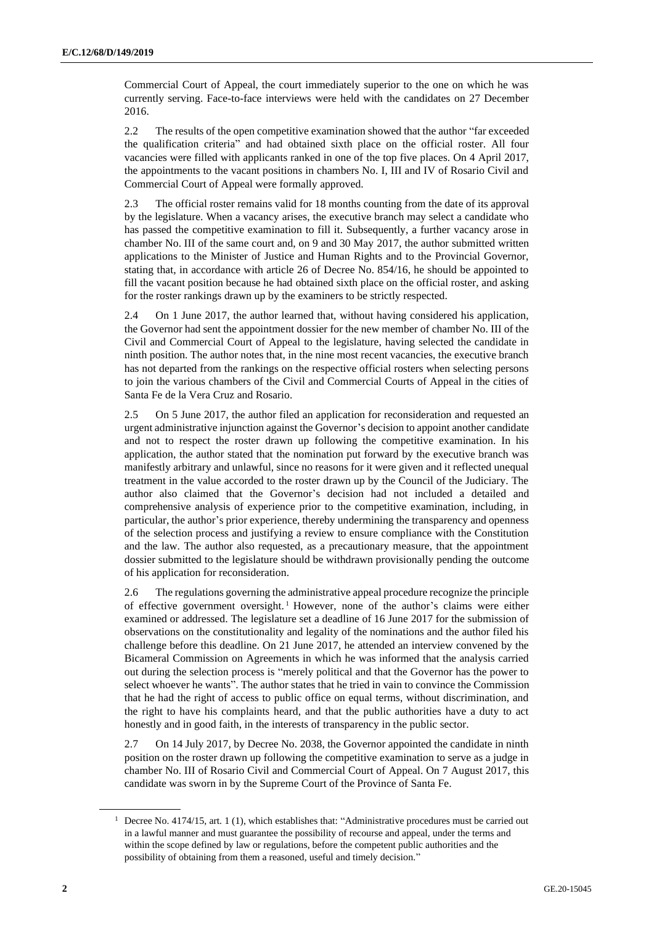Commercial Court of Appeal, the court immediately superior to the one on which he was currently serving. Face-to-face interviews were held with the candidates on 27 December 2016.

2.2 The results of the open competitive examination showed that the author "far exceeded the qualification criteria" and had obtained sixth place on the official roster. All four vacancies were filled with applicants ranked in one of the top five places. On 4 April 2017, the appointments to the vacant positions in chambers No. I, III and IV of Rosario Civil and Commercial Court of Appeal were formally approved.

2.3 The official roster remains valid for 18 months counting from the date of its approval by the legislature. When a vacancy arises, the executive branch may select a candidate who has passed the competitive examination to fill it. Subsequently, a further vacancy arose in chamber No. III of the same court and, on 9 and 30 May 2017, the author submitted written applications to the Minister of Justice and Human Rights and to the Provincial Governor, stating that, in accordance with article 26 of Decree No. 854/16, he should be appointed to fill the vacant position because he had obtained sixth place on the official roster, and asking for the roster rankings drawn up by the examiners to be strictly respected.

2.4 On 1 June 2017, the author learned that, without having considered his application, the Governor had sent the appointment dossier for the new member of chamber No. III of the Civil and Commercial Court of Appeal to the legislature, having selected the candidate in ninth position. The author notes that, in the nine most recent vacancies, the executive branch has not departed from the rankings on the respective official rosters when selecting persons to join the various chambers of the Civil and Commercial Courts of Appeal in the cities of Santa Fe de la Vera Cruz and Rosario.

2.5 On 5 June 2017, the author filed an application for reconsideration and requested an urgent administrative injunction against the Governor's decision to appoint another candidate and not to respect the roster drawn up following the competitive examination. In his application, the author stated that the nomination put forward by the executive branch was manifestly arbitrary and unlawful, since no reasons for it were given and it reflected unequal treatment in the value accorded to the roster drawn up by the Council of the Judiciary. The author also claimed that the Governor's decision had not included a detailed and comprehensive analysis of experience prior to the competitive examination, including, in particular, the author's prior experience, thereby undermining the transparency and openness of the selection process and justifying a review to ensure compliance with the Constitution and the law. The author also requested, as a precautionary measure, that the appointment dossier submitted to the legislature should be withdrawn provisionally pending the outcome of his application for reconsideration.

2.6 The regulations governing the administrative appeal procedure recognize the principle of effective government oversight. <sup>1</sup> However, none of the author's claims were either examined or addressed. The legislature set a deadline of 16 June 2017 for the submission of observations on the constitutionality and legality of the nominations and the author filed his challenge before this deadline. On 21 June 2017, he attended an interview convened by the Bicameral Commission on Agreements in which he was informed that the analysis carried out during the selection process is "merely political and that the Governor has the power to select whoever he wants". The author states that he tried in vain to convince the Commission that he had the right of access to public office on equal terms, without discrimination, and the right to have his complaints heard, and that the public authorities have a duty to act honestly and in good faith, in the interests of transparency in the public sector.

2.7 On 14 July 2017, by Decree No. 2038, the Governor appointed the candidate in ninth position on the roster drawn up following the competitive examination to serve as a judge in chamber No. III of Rosario Civil and Commercial Court of Appeal. On 7 August 2017, this candidate was sworn in by the Supreme Court of the Province of Santa Fe.

<sup>&</sup>lt;sup>1</sup> Decree No. 4174/15, art. 1 (1), which establishes that: "Administrative procedures must be carried out in a lawful manner and must guarantee the possibility of recourse and appeal, under the terms and within the scope defined by law or regulations, before the competent public authorities and the possibility of obtaining from them a reasoned, useful and timely decision."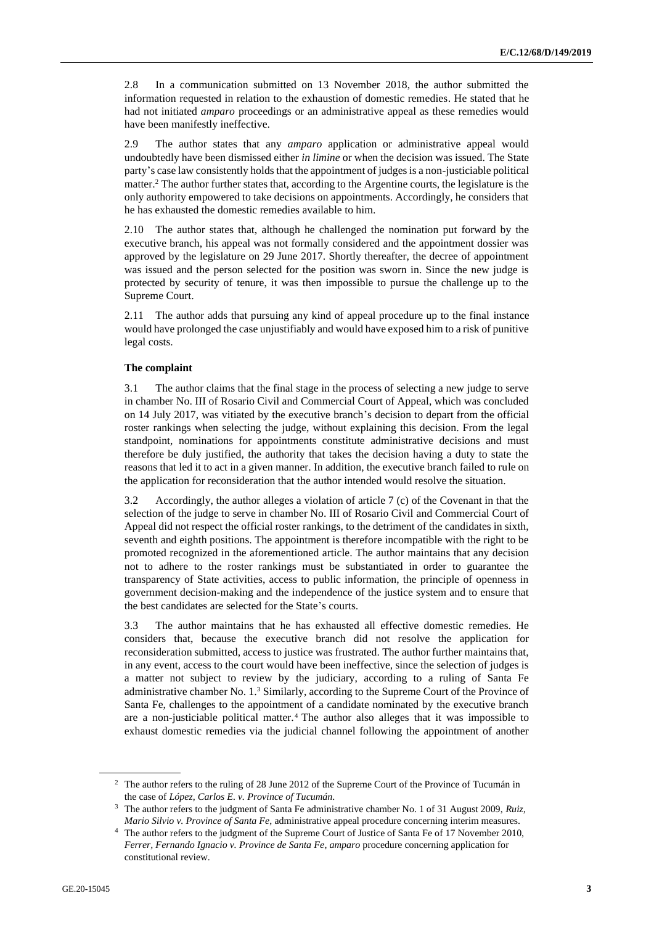2.8 In a communication submitted on 13 November 2018, the author submitted the information requested in relation to the exhaustion of domestic remedies. He stated that he had not initiated *amparo* proceedings or an administrative appeal as these remedies would have been manifestly ineffective.

2.9 The author states that any *amparo* application or administrative appeal would undoubtedly have been dismissed either *in limine* or when the decision was issued. The State party's case law consistently holds that the appointment of judges is a non-justiciable political matter.<sup>2</sup> The author further states that, according to the Argentine courts, the legislature is the only authority empowered to take decisions on appointments. Accordingly, he considers that he has exhausted the domestic remedies available to him.

2.10 The author states that, although he challenged the nomination put forward by the executive branch, his appeal was not formally considered and the appointment dossier was approved by the legislature on 29 June 2017. Shortly thereafter, the decree of appointment was issued and the person selected for the position was sworn in. Since the new judge is protected by security of tenure, it was then impossible to pursue the challenge up to the Supreme Court.

2.11 The author adds that pursuing any kind of appeal procedure up to the final instance would have prolonged the case unjustifiably and would have exposed him to a risk of punitive legal costs.

### **The complaint**

3.1 The author claims that the final stage in the process of selecting a new judge to serve in chamber No. III of Rosario Civil and Commercial Court of Appeal, which was concluded on 14 July 2017, was vitiated by the executive branch's decision to depart from the official roster rankings when selecting the judge, without explaining this decision. From the legal standpoint, nominations for appointments constitute administrative decisions and must therefore be duly justified, the authority that takes the decision having a duty to state the reasons that led it to act in a given manner. In addition, the executive branch failed to rule on the application for reconsideration that the author intended would resolve the situation.

3.2 Accordingly, the author alleges a violation of article 7 (c) of the Covenant in that the selection of the judge to serve in chamber No. III of Rosario Civil and Commercial Court of Appeal did not respect the official roster rankings, to the detriment of the candidates in sixth, seventh and eighth positions. The appointment is therefore incompatible with the right to be promoted recognized in the aforementioned article. The author maintains that any decision not to adhere to the roster rankings must be substantiated in order to guarantee the transparency of State activities, access to public information, the principle of openness in government decision-making and the independence of the justice system and to ensure that the best candidates are selected for the State's courts.

3.3 The author maintains that he has exhausted all effective domestic remedies. He considers that, because the executive branch did not resolve the application for reconsideration submitted, access to justice was frustrated. The author further maintains that, in any event, access to the court would have been ineffective, since the selection of judges is a matter not subject to review by the judiciary, according to a ruling of Santa Fe administrative chamber No. 1.<sup>3</sup> Similarly, according to the Supreme Court of the Province of Santa Fe, challenges to the appointment of a candidate nominated by the executive branch are a non-justiciable political matter.<sup>4</sup> The author also alleges that it was impossible to exhaust domestic remedies via the judicial channel following the appointment of another

<sup>&</sup>lt;sup>2</sup> The author refers to the ruling of 28 June 2012 of the Supreme Court of the Province of Tucumán in the case of *López, Carlos E. v. Province of Tucumán*.

<sup>3</sup> The author refers to the judgment of Santa Fe administrative chamber No. 1 of 31 August 2009, *Ruiz, Mario Silvio v. Province of Santa Fe*, administrative appeal procedure concerning interim measures.

<sup>4</sup> The author refers to the judgment of the Supreme Court of Justice of Santa Fe of 17 November 2010, *Ferrer, Fernando Ignacio v. Province de Santa Fe*, *amparo* procedure concerning application for constitutional review.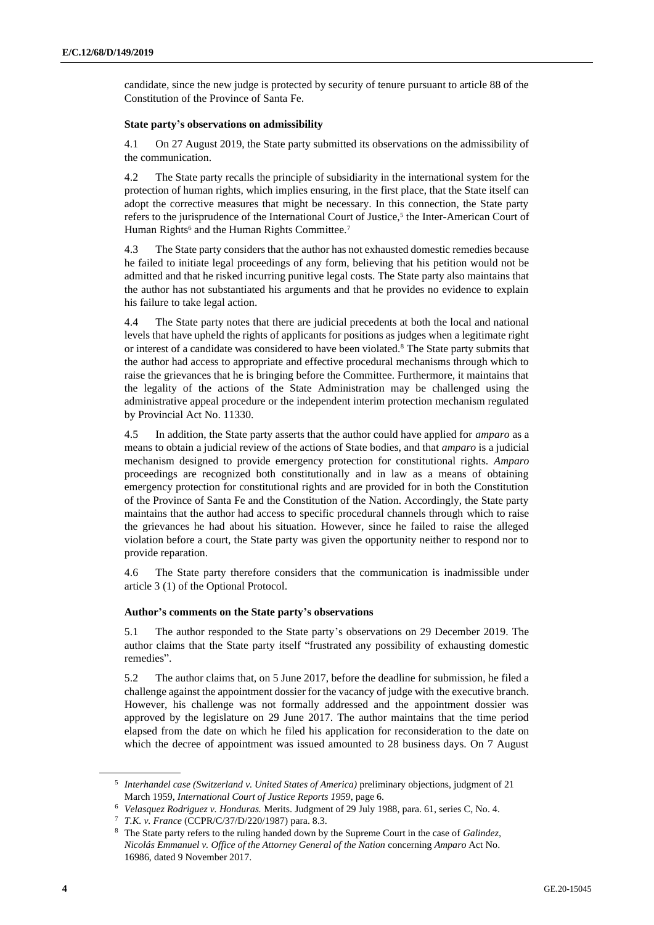candidate, since the new judge is protected by security of tenure pursuant to article 88 of the Constitution of the Province of Santa Fe.

#### **State party's observations on admissibility**

4.1 On 27 August 2019, the State party submitted its observations on the admissibility of the communication.

4.2 The State party recalls the principle of subsidiarity in the international system for the protection of human rights, which implies ensuring, in the first place, that the State itself can adopt the corrective measures that might be necessary. In this connection, the State party refers to the jurisprudence of the International Court of Justice,<sup>5</sup> the Inter-American Court of Human Rights<sup>6</sup> and the Human Rights Committee.<sup>7</sup>

4.3 The State party considers that the author has not exhausted domestic remedies because he failed to initiate legal proceedings of any form, believing that his petition would not be admitted and that he risked incurring punitive legal costs. The State party also maintains that the author has not substantiated his arguments and that he provides no evidence to explain his failure to take legal action.

4.4 The State party notes that there are judicial precedents at both the local and national levels that have upheld the rights of applicants for positions as judges when a legitimate right or interest of a candidate was considered to have been violated.<sup>8</sup> The State party submits that the author had access to appropriate and effective procedural mechanisms through which to raise the grievances that he is bringing before the Committee. Furthermore, it maintains that the legality of the actions of the State Administration may be challenged using the administrative appeal procedure or the independent interim protection mechanism regulated by Provincial Act No. 11330.

4.5 In addition, the State party asserts that the author could have applied for *amparo* as a means to obtain a judicial review of the actions of State bodies, and that *amparo* is a judicial mechanism designed to provide emergency protection for constitutional rights. *Amparo* proceedings are recognized both constitutionally and in law as a means of obtaining emergency protection for constitutional rights and are provided for in both the Constitution of the Province of Santa Fe and the Constitution of the Nation. Accordingly, the State party maintains that the author had access to specific procedural channels through which to raise the grievances he had about his situation. However, since he failed to raise the alleged violation before a court, the State party was given the opportunity neither to respond nor to provide reparation.

4.6 The State party therefore considers that the communication is inadmissible under article 3 (1) of the Optional Protocol.

#### **Author's comments on the State party's observations**

5.1 The author responded to the State party's observations on 29 December 2019. The author claims that the State party itself "frustrated any possibility of exhausting domestic remedies".

5.2 The author claims that, on 5 June 2017, before the deadline for submission, he filed a challenge against the appointment dossier for the vacancy of judge with the executive branch. However, his challenge was not formally addressed and the appointment dossier was approved by the legislature on 29 June 2017. The author maintains that the time period elapsed from the date on which he filed his application for reconsideration to the date on which the decree of appointment was issued amounted to 28 business days. On 7 August

<sup>5</sup> *Interhandel case (Switzerland v. United States of America)* preliminary objections, judgment of 21 March 1959, *International Court of Justice Reports 1959*, page 6.

<sup>6</sup> *Velasquez Rodriguez v. Honduras.* Merits. Judgment of 29 July 1988, para. 61, series C, No. 4.

<sup>7</sup> *T.K. v. France* (CCPR/C/37/D/220/1987) para. 8.3.

<sup>8</sup> The State party refers to the ruling handed down by the Supreme Court in the case of *Galindez, Nicolás Emmanuel v. Office of the Attorney General of the Nation* concerning *Amparo* Act No. 16986, dated 9 November 2017.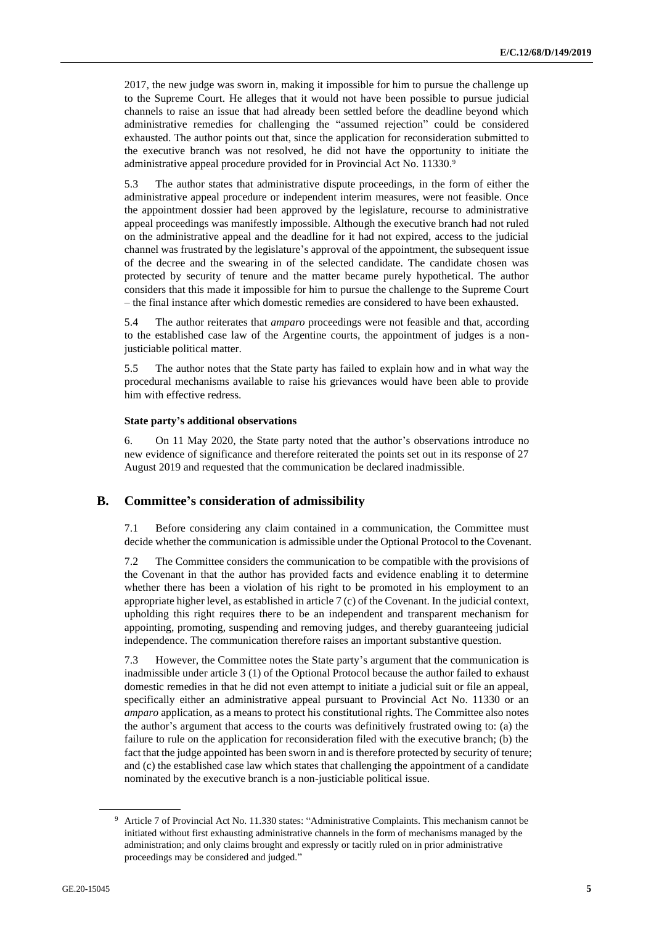2017, the new judge was sworn in, making it impossible for him to pursue the challenge up to the Supreme Court. He alleges that it would not have been possible to pursue judicial channels to raise an issue that had already been settled before the deadline beyond which administrative remedies for challenging the "assumed rejection" could be considered exhausted. The author points out that, since the application for reconsideration submitted to the executive branch was not resolved, he did not have the opportunity to initiate the administrative appeal procedure provided for in Provincial Act No. 11330.9

5.3 The author states that administrative dispute proceedings, in the form of either the administrative appeal procedure or independent interim measures, were not feasible. Once the appointment dossier had been approved by the legislature, recourse to administrative appeal proceedings was manifestly impossible. Although the executive branch had not ruled on the administrative appeal and the deadline for it had not expired, access to the judicial channel was frustrated by the legislature's approval of the appointment, the subsequent issue of the decree and the swearing in of the selected candidate. The candidate chosen was protected by security of tenure and the matter became purely hypothetical. The author considers that this made it impossible for him to pursue the challenge to the Supreme Court – the final instance after which domestic remedies are considered to have been exhausted.

5.4 The author reiterates that *amparo* proceedings were not feasible and that, according to the established case law of the Argentine courts, the appointment of judges is a nonjusticiable political matter.

5.5 The author notes that the State party has failed to explain how and in what way the procedural mechanisms available to raise his grievances would have been able to provide him with effective redress.

#### **State party's additional observations**

6. On 11 May 2020, the State party noted that the author's observations introduce no new evidence of significance and therefore reiterated the points set out in its response of 27 August 2019 and requested that the communication be declared inadmissible.

### **B. Committee's consideration of admissibility**

7.1 Before considering any claim contained in a communication, the Committee must decide whether the communication is admissible under the Optional Protocol to the Covenant.

7.2 The Committee considers the communication to be compatible with the provisions of the Covenant in that the author has provided facts and evidence enabling it to determine whether there has been a violation of his right to be promoted in his employment to an appropriate higher level, as established in article 7 (c) of the Covenant. In the judicial context, upholding this right requires there to be an independent and transparent mechanism for appointing, promoting, suspending and removing judges, and thereby guaranteeing judicial independence. The communication therefore raises an important substantive question.

7.3 However, the Committee notes the State party's argument that the communication is inadmissible under article 3 (1) of the Optional Protocol because the author failed to exhaust domestic remedies in that he did not even attempt to initiate a judicial suit or file an appeal, specifically either an administrative appeal pursuant to Provincial Act No. 11330 or an *amparo* application, as a means to protect his constitutional rights. The Committee also notes the author's argument that access to the courts was definitively frustrated owing to: (a) the failure to rule on the application for reconsideration filed with the executive branch; (b) the fact that the judge appointed has been sworn in and is therefore protected by security of tenure; and (c) the established case law which states that challenging the appointment of a candidate nominated by the executive branch is a non-justiciable political issue.

<sup>9</sup> Article 7 of Provincial Act No. 11.330 states: "Administrative Complaints. This mechanism cannot be initiated without first exhausting administrative channels in the form of mechanisms managed by the administration; and only claims brought and expressly or tacitly ruled on in prior administrative proceedings may be considered and judged."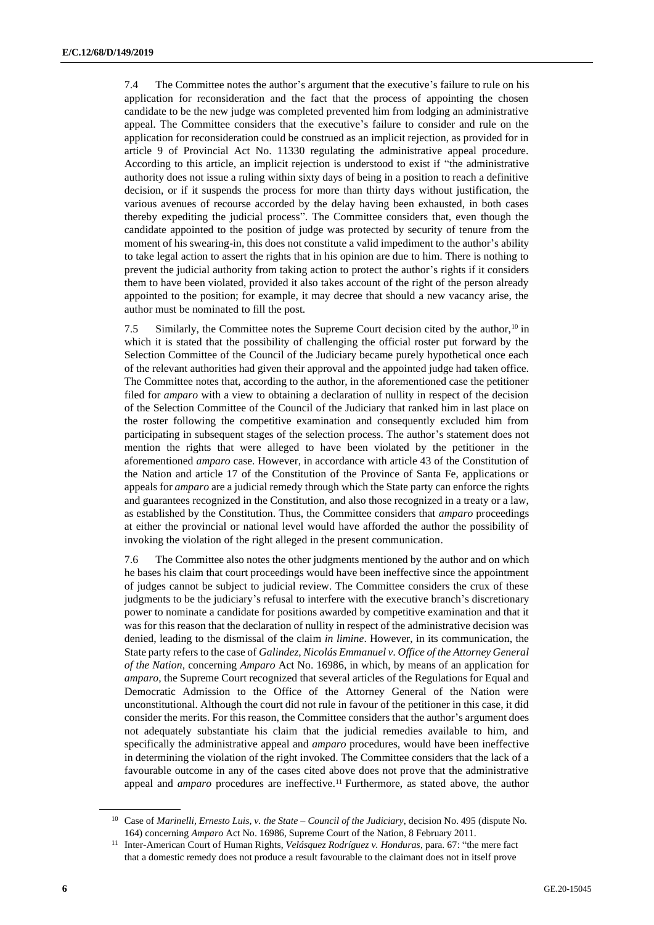7.4 The Committee notes the author's argument that the executive's failure to rule on his application for reconsideration and the fact that the process of appointing the chosen candidate to be the new judge was completed prevented him from lodging an administrative appeal. The Committee considers that the executive's failure to consider and rule on the application for reconsideration could be construed as an implicit rejection, as provided for in article 9 of Provincial Act No. 11330 regulating the administrative appeal procedure. According to this article, an implicit rejection is understood to exist if "the administrative authority does not issue a ruling within sixty days of being in a position to reach a definitive decision, or if it suspends the process for more than thirty days without justification, the various avenues of recourse accorded by the delay having been exhausted, in both cases thereby expediting the judicial process". The Committee considers that, even though the candidate appointed to the position of judge was protected by security of tenure from the moment of his swearing-in, this does not constitute a valid impediment to the author's ability to take legal action to assert the rights that in his opinion are due to him. There is nothing to prevent the judicial authority from taking action to protect the author's rights if it considers them to have been violated, provided it also takes account of the right of the person already appointed to the position; for example, it may decree that should a new vacancy arise, the author must be nominated to fill the post.

7.5 Similarly, the Committee notes the Supreme Court decision cited by the author,<sup>10</sup> in which it is stated that the possibility of challenging the official roster put forward by the Selection Committee of the Council of the Judiciary became purely hypothetical once each of the relevant authorities had given their approval and the appointed judge had taken office. The Committee notes that, according to the author, in the aforementioned case the petitioner filed for *amparo* with a view to obtaining a declaration of nullity in respect of the decision of the Selection Committee of the Council of the Judiciary that ranked him in last place on the roster following the competitive examination and consequently excluded him from participating in subsequent stages of the selection process. The author's statement does not mention the rights that were alleged to have been violated by the petitioner in the aforementioned *amparo* case. However, in accordance with article 43 of the Constitution of the Nation and article 17 of the Constitution of the Province of Santa Fe, applications or appeals for *amparo* are a judicial remedy through which the State party can enforce the rights and guarantees recognized in the Constitution, and also those recognized in a treaty or a law, as established by the Constitution. Thus, the Committee considers that *amparo* proceedings at either the provincial or national level would have afforded the author the possibility of invoking the violation of the right alleged in the present communication.

7.6 The Committee also notes the other judgments mentioned by the author and on which he bases his claim that court proceedings would have been ineffective since the appointment of judges cannot be subject to judicial review. The Committee considers the crux of these judgments to be the judiciary's refusal to interfere with the executive branch's discretionary power to nominate a candidate for positions awarded by competitive examination and that it was for this reason that the declaration of nullity in respect of the administrative decision was denied, leading to the dismissal of the claim *in limine*. However, in its communication, the State party refers to the case of *Galindez, Nicolás Emmanuel v. Office of the Attorney General of the Nation*, concerning *Amparo* Act No. 16986, in which, by means of an application for *amparo*, the Supreme Court recognized that several articles of the Regulations for Equal and Democratic Admission to the Office of the Attorney General of the Nation were unconstitutional. Although the court did not rule in favour of the petitioner in this case, it did consider the merits. For this reason, the Committee considers that the author's argument does not adequately substantiate his claim that the judicial remedies available to him, and specifically the administrative appeal and *amparo* procedures, would have been ineffective in determining the violation of the right invoked. The Committee considers that the lack of a favourable outcome in any of the cases cited above does not prove that the administrative appeal and *amparo* procedures are ineffective.<sup>11</sup> Furthermore, as stated above, the author

<sup>10</sup> Case of *Marinelli, Ernesto Luis, v. the State – Council of the Judiciary*, decision No. 495 (dispute No. 164) concerning *Amparo* Act No. 16986, Supreme Court of the Nation, 8 February 2011.

<sup>11</sup> Inter-American Court of Human Rights, *Velásquez Rodríguez v. Honduras*, para. 67: "the mere fact that a domestic remedy does not produce a result favourable to the claimant does not in itself prove